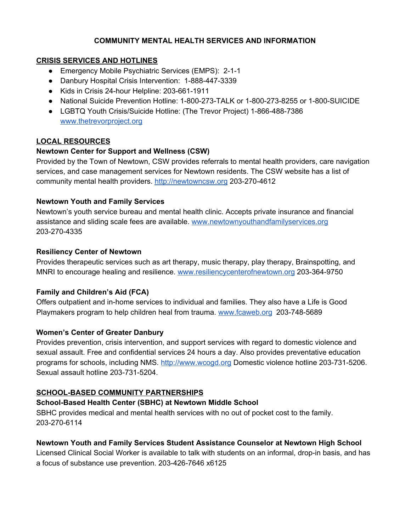#### **COMMUNITY MENTAL HEALTH SERVICES AND INFORMATION**

#### **CRISIS SERVICES AND HOTLINES**

- Emergency Mobile Psychiatric Services (EMPS): 2-1-1
- Danbury Hospital Crisis Intervention: 1-888-447-3339
- Kids in Crisis 24-hour Helpline: 203-661-1911
- National Suicide Prevention Hotline: 1-800-273-TALK or 1-800-273-8255 or 1-800-SUICIDE
- LGBTQ Youth Crisis/Suicide Hotline: (The Trevor Project) 1-866-488-7386 [www.thetrevorproject.org](http://www.thetrevorproject.org/)

# **LOCAL RESOURCES**

## **Newtown Center for Support and Wellness (CSW)**

Provided by the Town of Newtown, CSW provides referrals to mental health providers, care navigation services, and case management services for Newtown residents. The CSW website has a list of community mental health providers. [http://newtowncsw.org](http://newtowncsw.org/) 203-270-4612

## **Newtown Youth and Family Services**

Newtown's youth service bureau and mental health clinic. Accepts private insurance and financial assistance and sliding scale fees are available. [www.newtownyouthandfamilyservices.org](https://www.newtownyouthandfamilyservices.org/) 203-270-4335

## **Resiliency Center of Newtown**

Provides therapeutic services such as art therapy, music therapy, play therapy, Brainspotting, and MNRI to encourage healing and resilience. [www.resiliencycenterofnewtown.org](http://www.resiliencycenterofnewtown.org/) 203-364-9750

## **Family and Children's Aid (FCA)**

Offers outpatient and in-home services to individual and families. They also have a Life is Good Playmakers program to help children heal from trauma. [www.fcaweb.org](http://www.fcaweb.org/)203-748-5689

## **Women's Center of Greater Danbury**

Provides prevention, crisis intervention, and support services with regard to domestic violence and sexual assault. Free and confidential services 24 hours a day. Also provides preventative education programs for schools, including NMS. [http://www.wcogd.org](http://www.wcogd.org/) Domestic violence hotline 203-731-5206. Sexual assault hotline 203-731-5204.

## **SCHOOL-BASED COMMUNITY PARTNERSHIPS**

## **School-Based Health Center (SBHC) at Newtown Middle School**

SBHC provides medical and mental health services with no out of pocket cost to the family. 203-270-6114

# **Newtown Youth and Family Services Student Assistance Counselor at Newtown High School**

Licensed Clinical Social Worker is available to talk with students on an informal, drop-in basis, and has a focus of substance use prevention. 203-426-7646 x6125